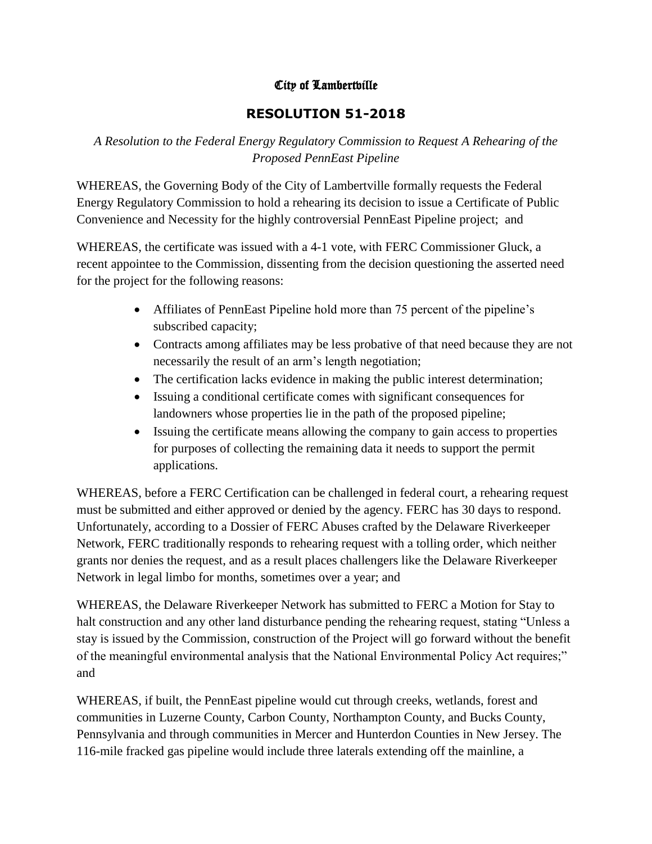## City of Lambertville

## **RESOLUTION 51-2018**

*A Resolution to the Federal Energy Regulatory Commission to Request A Rehearing of the Proposed PennEast Pipeline*

WHEREAS, the Governing Body of the City of Lambertville formally requests the Federal Energy Regulatory Commission to hold a rehearing its decision to issue a Certificate of Public Convenience and Necessity for the highly controversial PennEast Pipeline project; and

WHEREAS, the certificate was issued with a 4-1 vote, with FERC Commissioner Gluck, a recent appointee to the Commission, dissenting from the decision questioning the asserted need for the project for the following reasons:

- Affiliates of PennEast Pipeline hold more than 75 percent of the pipeline's subscribed capacity;
- Contracts among affiliates may be less probative of that need because they are not necessarily the result of an arm's length negotiation;
- The certification lacks evidence in making the public interest determination;
- Issuing a conditional certificate comes with significant consequences for landowners whose properties lie in the path of the proposed pipeline;
- Issuing the certificate means allowing the company to gain access to properties for purposes of collecting the remaining data it needs to support the permit applications.

WHEREAS, before a FERC Certification can be challenged in federal court, a rehearing request must be submitted and either approved or denied by the agency. FERC has 30 days to respond. Unfortunately, according to a Dossier of FERC Abuses crafted by the Delaware Riverkeeper Network, FERC traditionally responds to rehearing request with a tolling order, which neither grants nor denies the request, and as a result places challengers like the Delaware Riverkeeper Network in legal limbo for months, sometimes over a year; and

WHEREAS, the Delaware Riverkeeper Network has submitted to FERC a Motion for Stay to halt construction and any other land disturbance pending the rehearing request, stating "Unless a stay is issued by the Commission, construction of the Project will go forward without the benefit of the meaningful environmental analysis that the National Environmental Policy Act requires;" and

WHEREAS, if built, the PennEast pipeline would cut through creeks, wetlands, forest and communities in Luzerne County, Carbon County, Northampton County, and Bucks County, Pennsylvania and through communities in Mercer and Hunterdon Counties in New Jersey. The 116-mile fracked gas pipeline would include three laterals extending off the mainline, a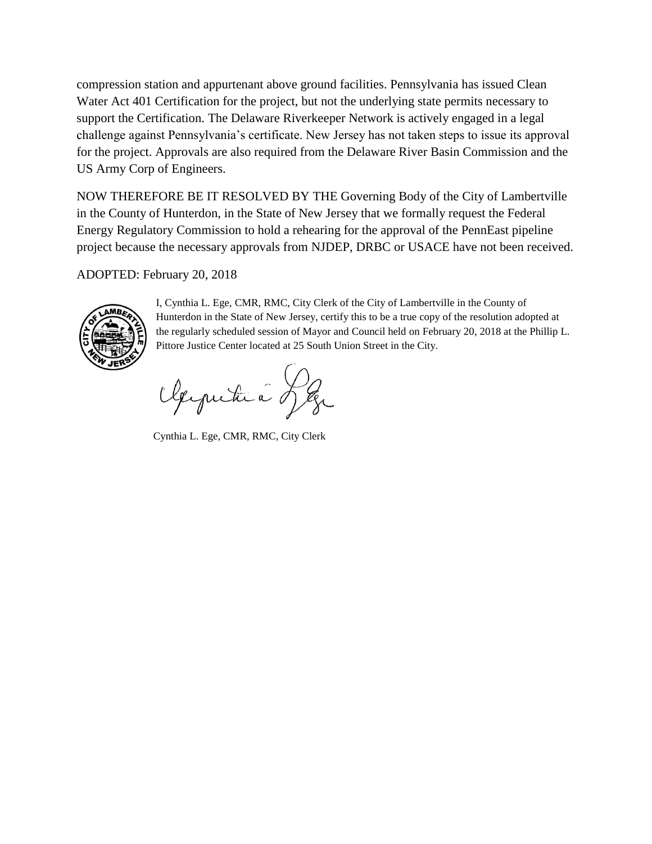compression station and appurtenant above ground facilities. Pennsylvania has issued Clean Water Act 401 Certification for the project, but not the underlying state permits necessary to support the Certification. The Delaware Riverkeeper Network is actively engaged in a legal challenge against Pennsylvania's certificate. New Jersey has not taken steps to issue its approval for the project. Approvals are also required from the Delaware River Basin Commission and the US Army Corp of Engineers.

NOW THEREFORE BE IT RESOLVED BY THE Governing Body of the City of Lambertville in the County of Hunterdon, in the State of New Jersey that we formally request the Federal Energy Regulatory Commission to hold a rehearing for the approval of the PennEast pipeline project because the necessary approvals from NJDEP, DRBC or USACE have not been received.

ADOPTED: February 20, 2018



I, Cynthia L. Ege, CMR, RMC, City Clerk of the City of Lambertville in the County of Hunterdon in the State of New Jersey, certify this to be a true copy of the resolution adopted at the regularly scheduled session of Mayor and Council held on February 20, 2018 at the Phillip L. Pittore Justice Center located at 25 South Union Street in the City.

Oleymitica Leg

Cynthia L. Ege, CMR, RMC, City Clerk